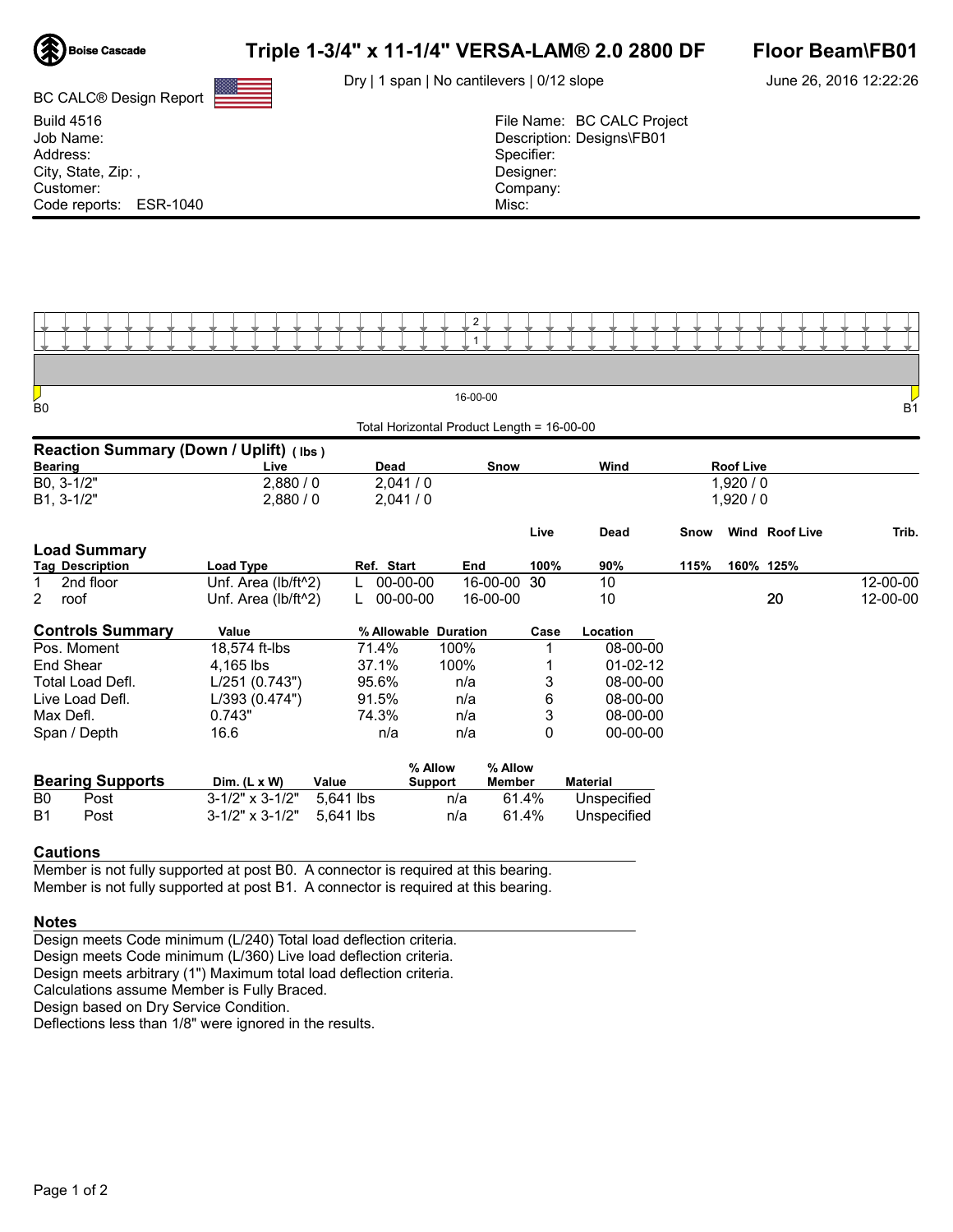

BC CALC® Design Report

# Triple 1-3/4" x 11-1/4" VERSA-LAM® 2.0 2800 DF Floor Beam\FB01

Dry | 1 span | No cantilevers | 0/12 slope

June 26, 2016 12:22:26

| <b>Build 4516</b>      | File Name: BC CALC Project |
|------------------------|----------------------------|
| Job Name:              | Description: Designs\FB01  |
| Address:               | Specifier:                 |
| City, State, Zip:,     | Designer:                  |
| Customer:              | Company:                   |
| Code reports: ESR-1040 | Misc:                      |



| Ų<br>B <sub>0</sub>                    |                                  |            | 16-00-00                                   |      |                |         |                  |                       | B <sub>1</sub> |
|----------------------------------------|----------------------------------|------------|--------------------------------------------|------|----------------|---------|------------------|-----------------------|----------------|
|                                        |                                  |            | Total Horizontal Product Length = 16-00-00 |      |                |         |                  |                       |                |
| Reaction Summary (Down / Uplift) (lbs) |                                  |            |                                            |      |                |         |                  |                       |                |
| <b>Bearing</b>                         | Live                             |            | Dead<br>Snow                               |      | Wind           |         | <b>Roof Live</b> |                       |                |
| B0, 3-1/2"                             | 2,880/0                          | 2,041/0    |                                            |      |                | 1,920/0 |                  |                       |                |
| $B1, 3-1/2"$                           | 2,880/0                          | 2,041/0    |                                            |      | 1,920/0        |         |                  |                       |                |
|                                        |                                  |            |                                            | Live | Dead           | Snow    |                  | <b>Wind Roof Live</b> | Trib.          |
| <b>Load Summary</b>                    |                                  |            |                                            |      |                |         |                  |                       |                |
| <b>Tag Description</b>                 | Load Type                        | Ref. Start | End                                        | 100% | 90%            | 115%    |                  | 160% 125%             |                |
| 2nd floor                              | Unf. Area (lb/ft <sup>^2</sup> ) | 00-00-00   | 16-00-00                                   | -30  | 10             |         |                  |                       | 12-00-00       |
| 2<br>roof                              | Unf. Area (lb/ft^2)              | 00-00-00   | 16-00-00                                   |      | 10             |         |                  | 20                    | 12-00-00       |
| <b>Controls Summary</b><br>Value       |                                  |            | % Allowable Duration                       | Case | Location       |         |                  |                       |                |
| Pos. Moment                            | 18,574 ft-lbs                    | 71.4%      | 100%                                       |      | 08-00-00       |         |                  |                       |                |
| <b>End Shear</b>                       | 4,165 lbs                        | 37.1%      | 100%                                       |      | $01 - 02 - 12$ |         |                  |                       |                |
| Total Load Defl.                       | L/251(0.743")                    | 95.6%      | n/a                                        | 3    | 08-00-00       |         |                  |                       |                |
| Live Load Defl.                        | L/393 (0.474")                   | 91.5%      | n/a                                        | 6    | 08-00-00       |         |                  |                       |                |
| Max Defl.                              | 0.743"                           | 74.3%      | n/a                                        | 3    | 08-00-00       |         |                  |                       |                |
| Span / Depth                           | 16.6                             | n/a        | n/a                                        | 0    | $00 - 00 - 00$ |         |                  |                       |                |
| <b>Decima Construction</b>             |                                  |            | % Allow<br>% Allow                         |      | -- - - -       |         |                  |                       |                |

|           | <b>Bearing Supports</b> | Dim. $(L \times W)$             | Value | 70 HUUW<br>Support | $\lambda$<br>Member | Material    |
|-----------|-------------------------|---------------------------------|-------|--------------------|---------------------|-------------|
| B0        | Post                    | $3-1/2$ " x $3-1/2$ " 5.641 lbs |       | n/a                | 61.4%               | Unspecified |
| <b>B1</b> | Post                    | $3-1/2$ " x $3-1/2$ " 5.641 lbs |       | n/a                | 61.4%               | Unspecified |

### Cautions

Member is not fully supported at post B0. A connector is required at this bearing. Member is not fully supported at post B1. A connector is required at this bearing.

#### Notes

Design meets Code minimum (L/240) Total load deflection criteria. Design meets Code minimum (L/360) Live load deflection criteria. Design meets arbitrary (1") Maximum total load deflection criteria. Calculations assume Member is Fully Braced.

Design based on Dry Service Condition.

Deflections less than 1/8" were ignored in the results.